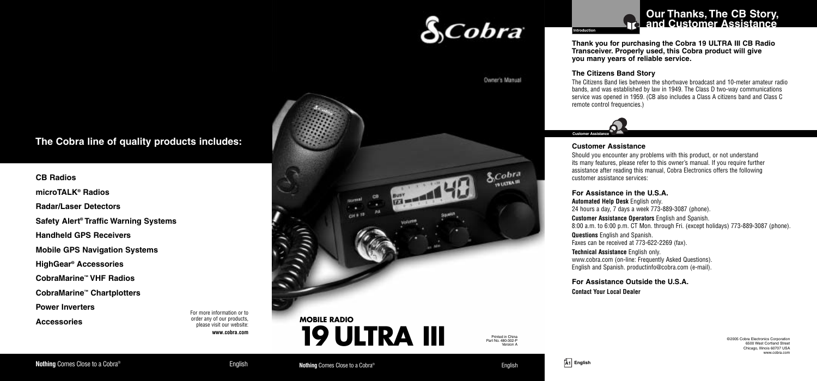

**CB Radios microTALK® Radios Radar/Laser Detectors Safety Alert ® Traffic Warning Systems Handheld GPS Receivers Mobile GPS Navigation Systems HighGear® Accessories CobraMarine™ VHF Radios CobraMarine™ Chartplotters Power Inverters Accessories**

For more information or to order any of our products, please visit our website: **www.cobra.com**





# **Our Thanks, The CB Story, and Customer Assistance**

**Thank you for purchasing the Cobra 19 ULTRA III CB Radio Transceiver. Properly used, this Cobra product will give you many years of reliable service.**

#### **The Citizens Band Story**

The Citizens Band lies between the shortwave broadcast and 10-meter amateur radio bands, and was established by law in 1949. The Class D two-way communications service was opened in 1959. (CB also includes a Class A citizens band and Class C remote control frequencies.)



#### **Customer Assistance**

Should you encounter any problems with this product, or not understand its many features, please refer to this owner's manual. If you require further assistance after reading this manual, Cobra Electronics offers the following customer assistance services:

#### **For Assistance in the U.S.A.**

**Automated Help Desk** English only. 24 hours a day, 7 days a week 773-889-3087 (phone). **Customer Assistance Operators** English and Spanish. 8:00 a.m. to 6:00 p.m. CT Mon. through Fri. (except holidays) 773-889-3087 (phone). **Questions** English and Spanish. Faxes can be received at 773-622-2269 (fax).

**Technical Assistance** English only. www.cobra.com (on-line: Frequently Asked Questions). English and Spanish. productinfo@cobra.com (e-mail).

**For Assistance Outside the U.S.A. Contact Your Local Dealer**

> ©2005 Cobra Electronics Corporation 6500 West Cortland Street Chicago, Illinois 60707 USA www.cobra.com

#### **Nothing** Comes Close to a Cobra<sup>®</sup> **English English Nothing** Comes Close to a Cobra<sup>®</sup> **English English English**



*S.Cobra*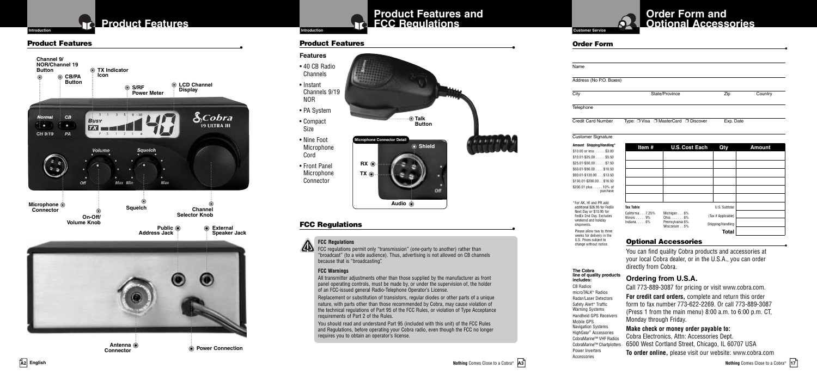## **Product Features**

## **Product Features • Product Features •**





**Antenna Connector**

**Power Connection**

## **Product Features and FCC Regulations**

**Shield**

**Talk Button**

### **Customer Service Order Form and Optional Accessories**

| <b>Order Form</b>         |                                      |           |         |
|---------------------------|--------------------------------------|-----------|---------|
|                           |                                      |           |         |
| Name                      |                                      |           |         |
| Address (No P.O. Boxes)   |                                      |           |         |
| City                      | State/Province                       | Zip       | Country |
| Telephone                 |                                      |           |         |
| <b>Credit Card Number</b> | Type: □ Visa □ MasterCard □ Discover | Exp. Date |         |

#### Customer Signature **Amount** SI

change without notice.

CB Radios microTALK® Radios Radar/Laser Detectors Safety Alert ® Traffic Warning Systems Handheld GPS Receivers Mobile GPS Navigation Systems HighGear ® Accessories

Power Inverters Accessories

| Amount Shipping/Handling*                              | Item#                                       | <b>U.S. Cost Each</b>              | Qty                 | <b>Amount</b> |
|--------------------------------------------------------|---------------------------------------------|------------------------------------|---------------------|---------------|
| $$10.00$ or less $$3.00$<br>$$10.01-S25.00$ \$5.50     |                                             |                                    |                     |               |
| $$25.01 - $50.00 $ \$7.50                              |                                             |                                    |                     |               |
| $$50.01 - $90.00  $10.50$<br>\$90.01-\$130.00 \$13.50  |                                             |                                    |                     |               |
| \$130.01-\$200.00. \$16.50                             |                                             |                                    |                     |               |
| \$200.01 plus 10% of<br>purchase                       |                                             |                                    |                     |               |
|                                                        |                                             |                                    |                     |               |
| *For AK. HI and PR add<br>additional \$26.95 for FedEx | Tax Table                                   |                                    | U.S. Subtotal       |               |
| Next Day or \$10.95 for<br>FedEx 2nd Day. Excludes     | California  7.25%<br>Illinois $\ldots$ . 9% | Michigan 6%<br>$Ohio. \ldots. 6\%$ | (Tax if Applicable) |               |
| weekend and holiday<br>shipments.                      | Indiana $6\%$                               | Pennsylvania 6%<br>Wisconsin5%     | Shipping/Handling   |               |
| Please allow two to three                              |                                             |                                    | <b>Total</b>        |               |
| weeks for delivery in the<br>U.S. Prices subject to    |                                             | Antianal Aaaaaaaniaa               |                     |               |

**Optional Accessories**<br>**You can find quality Cobra products and accessories at** your local Cobra dealer, or in the U.S.A., you can order directly from Cobra.

#### **Ordering from U.S.A. The Cobra line of quality products includes:**

Call 773-889-3087 for pricing or visit www.cobra.com.

**For credit card orders,** complete and return this order form to fax number 773-622-2269. Or call 773-889-3087 (Press 1 from the main menu) 8:00 a.m. to 6:00 p.m. CT, Monday through Friday.

#### **Make check or money order payable to:**

Cobra Electronics, Attn: Accessories Dept. 6500 West Cortland Street, Chicago, IL 60707 USA CobraMarine™ VHF Radios CobraMarine™ Chartplotters

**To order online,** please visit our website: www.cobra.com

**Nothing** Comes Close to a Cobra<sup>®</sup> A3



• Front Panel Microphone Connector

### **FCC Regulations •**

**RX TX**

**Microphone Connector Detail**

#### **FCC Regulations**

FCC regulations permit only "transmission" (one-party to another) rather than "broadcast" (to a wide audience). Thus, advertising is not allowed on CB channels because that is "broadcasting".

**Audio**

#### **FCC Warnings**

All transmitter adjustments other than those supplied by the manufacturer as front panel operating controls, must be made by, or under the supervision of, the holder of an FCC-issued general Radio-Telephone Operator's License.

Replacement or substitution of transistors, regular diodes or other parts of a unique nature, with parts other than those recommended by Cobra, may cause violation of the technical regulations of Part 95 of the FCC Rules, or violation of Type Acceptance requirements of Part 2 of the Rules.

You should read and understand Part 95 (included with this unit) of the FCC Rules and Regulations, before operating your Cobra radio, even though the FCC no longer requires you to obtain an operator's license.

**Features** • 40 CB Radio Channels • Instant Channels 9/19 NOR • PA System • Compact Size • Nine Foot Microphone Cord

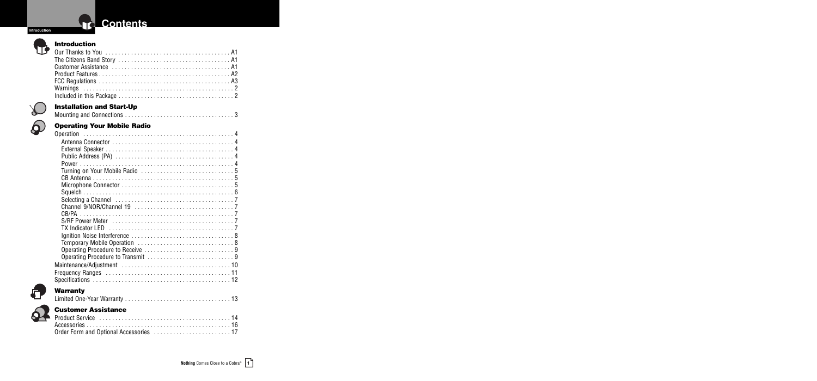## **Contents**

## **Introduction**

**Introduction**

#### $\sqrt{2}$ **Installation and Start-Up**

|--|--|

#### $\mathbf{\Omega}$ **Operating Your Mobile Radio**

### $\bigodot$ **Warranty**

 $\Omega$ 

|--|

## **Customer Assistance**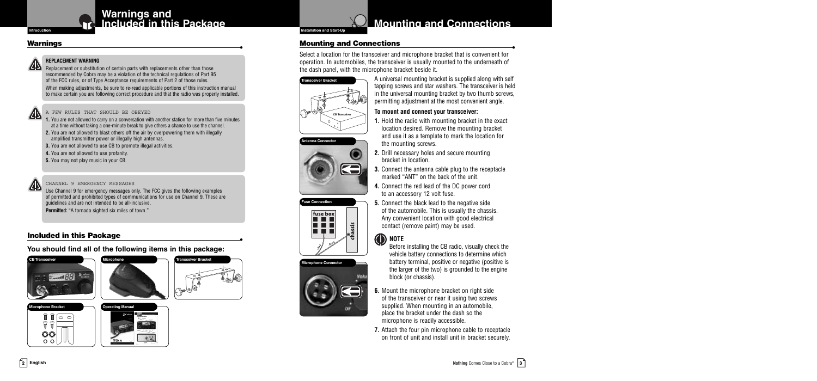## **Warnings and Integration Included in this Package**

## **Warnings •**

### **REPLACEMENT WARNING**

**243** Replacement or substitution of certain parts with replacements other than those recommended by Cobra may be a violation of the technical regulations of Part 95 of the FCC rules, or of Type Acceptance requirements of Part 2 of those rules.

When making adjustments, be sure to re-read applicable portions of this instruction manual to make certain you are following correct procedure and that the radio was properly installed.

#### A FEW RULES THAT SHOULD BE OBEYED

- **1.** You are not allowed to carry on a conversation with another station for more than five minutes at a time without taking a one-minute break to give others a chance to use the channel.
- **2.** You are not allowed to blast others off the air by overpowering them with illegally amplified transmitter power or illegally high antennas.
- **3.** You are not allowed to use CB to promote illegal activities.
- **4.** You are not allowed to use profanity.
- **5.** You may not play music in your CB.

#### CHANNEL 9 EMERGENCY MESSAGES

Use Channel 9 for emergency messages only. The FCC gives the following examples of permitted and prohibited types of communications for use on Channel 9. These are guidelines and are not intended to be all-inclusive. **Permitted:** "A tornado sighted six miles of town."

### **Included in this Package •**

**You should find all of the following items in this package:**



**PDX IV** 



## **Mounting** and **Connections**

**Mounting and Connections**<br> **Select a location for the transceiver and microphone bracket that is convenient for** operation. In automobiles, the transceiver is usually mounted to the underneath of the dash panel, with the microphone bracket beside it.







A universal mounting bracket is supplied along with self tapping screws and star washers. The transceiver is held in the universal mounting bracket by two thumb screws, permitting adjustment at the most convenient angle.

### **To mount and connect your transceiver:**

**1.** Hold the radio with mounting bracket in the exact location desired. Remove the mounting bracket and use it as a template to mark the location for the mounting screws.

- **2.** Drill necessary holes and secure mounting bracket in location.
- **3.** Connect the antenna cable plug to the receptacle marked "ANT" on the back of the unit.
- **4.** Connect the red lead of the DC power cord to an accessory 12 volt fuse.

**5.** Connect the black lead to the negative side of the automobile. This is usually the chassis. Any convenient location with good electrical contact (remove paint) may be used.

#### **ID** NOTE Before installing the CB radio, visually check the



vehicle battery connections to determine which battery terminal, positive or negative (positive is the larger of the two) is grounded to the engine block (or chassis).

- **6.** Mount the microphone bracket on right side of the transceiver or near it using two screws supplied. When mounting in an automobile, place the bracket under the dash so the microphone is readily accessible.
- **7.** Attach the four pin microphone cable to receptacle on front of unit and install unit in bracket securely.

**2 English**

 $|00|$  $55$ UU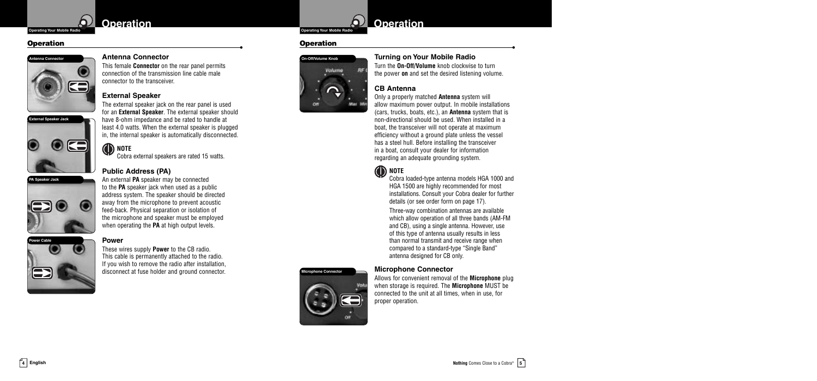## **Operating Your Mobile Radio**<br> **Operating Your Mobile Radio**

## **Operation •**

**External Speaker Jack**



#### **Antenna Connector**

This female **Connector** on the rear panel permits connection of the transmission line cable male connector to the transceiver.

#### **External Speaker**

The external speaker jack on the rear panel is used for an **External Speaker**. The external speaker should have 8-ohm impedance and be rated to handle at least 4.0 watts. When the external speaker is plugged in, the internal speaker is automatically disconnected.

## **ID** NOTE

Cobra external speakers are rated 15 watts.



## **Public Address (PA)**

 $\bigoplus$ 

 $\bullet$ ca

An external **PA** speaker may be connected to the **PA** speaker jack when used as a public address system. The speaker should be directed away from the microphone to prevent acoustic feed-back. Physical separation or isolation of the microphone and speaker must be employed when operating the **PA** at high output levels.

#### **Power**



These wires supply **Power** to the CB radio. This cable is permanently attached to the radio. If you wish to remove the radio after installation, disconnect at fuse holder and ground connector.



## **Operation •**



#### **Turning on Your Mobile Radio** Turn the **On-Off/Volume** knob clockwise to turn

the power **on** and set the desired listening volume.

#### **CB Antenna**

Only a properly matched **Antenna** system will allow maximum power output. In mobile installations (cars, trucks, boats, etc.), an **Antenna** system that is non-directional should be used. When installed in a boat, the transceiver will not operate at maximum efficiency without a ground plate unless the vessel has a steel hull. Before installing the transceiver in a boat, consult your dealer for information regarding an adequate grounding system.

## **ID** NOTE

Cobra loaded-type antenna models HGA 1000 and HGA 1500 are highly recommended for most installations. Consult your Cobra dealer for further details (or see order form on page 17).

Three-way combination antennas are available which allow operation of all three bands (AM-FM and CB), using a single antenna. However, use of this type of antenna usually results in less than normal transmit and receive range when compared to a standard-type "Single Band" antenna designed for CB only.

#### **Microphone Connector**

**Microphone Connector**

Allows for convenient removal of the **Microphone** plug when storage is required. The **Microphone** MUST be connected to the unit at all times, when in use, for proper operation.

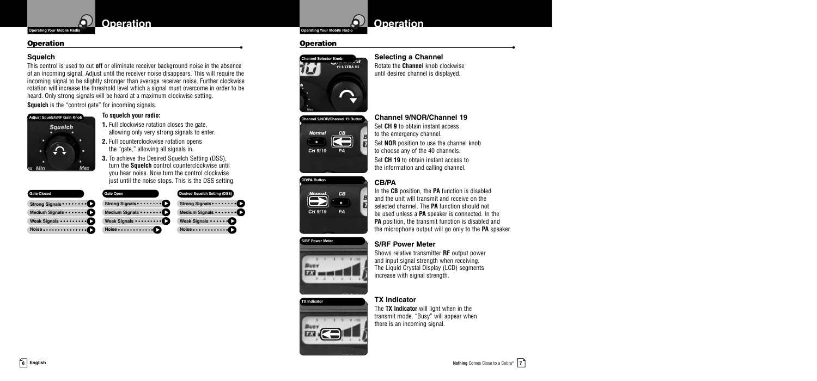## **Operation •**

### **Squelch**

This control is used to cut **off** or eliminate receiver background noise in the absence of an incoming signal. Adjust until the receiver noise disappears. This will require the incoming signal to be slightly stronger than average receiver noise. Further clockwise rotation will increase the threshold level which a signal must overcome in order to be heard. Only strong signals will be heard at a maximum clockwise setting. **Squelch** is the "control gate" for incoming signals.



**To squelch your radio:**

**1.** Full clockwise rotation closes the gate, allowing only very strong signals to enter.

- **2.** Full counterclockwise rotation opens the "gate," allowing all signals in.
- **3.** To achieve the Desired Squelch Setting (DSS), turn the **Squelch** control counterclockwise until you hear noise. Now turn the control clockwise just until the noise stops. This is the DSS setting.

| <b>Gate Closed</b> | Gate Open       | Desired Squ      |
|--------------------|-----------------|------------------|
|                    |                 | <b>Strong Si</b> |
|                    |                 | <b>Medium S</b>  |
| Weak Signals       | Weak Signals    | <b>Weak Sig</b>  |
|                    | Noise $\bullet$ | Noise • • •      |

#### **Designed Setting** (DSS)  $_{\text{mals}} \ldots \ldots \bullet$  $\mathbf{S}$ iqnals $\cdots$  $\bullet$  $\blacksquare$ . . . . . . . . . . 0



## **Operation •**





**Channel 9/NOR/Channel 19** Set **CH 9** to obtain instant access to the emergency channel. Set **NOR** position to use the channel knob to choose any of the 40 channels. Set **CH 19** to obtain instant access to the information and calling channel.

**Selecting a Channel** Rotate the **Channel** knob clockwise until desired channel is displayed.

### **CB/PA**



**CB/PA Button**

**S/RF Power Meter**

In the **CB** position, the **PA** function is disabled and the unit will transmit and receive on the selected channel. The **PA** function should not be used unless a **PA** speaker is connected. In the **PA** position, the transmit function is disabled and the microphone output will go only to the **PA** speaker.

### **S/RF Power Meter**



Shows relative transmitter **RF** output power and input signal strength when receiving. The Liquid Crystal Display (LCD) segments increase with signal strength.

### **TX Indicator**



The **TX Indicator** will light when in the transmit mode. "Busy" will appear when there is an incoming signal.



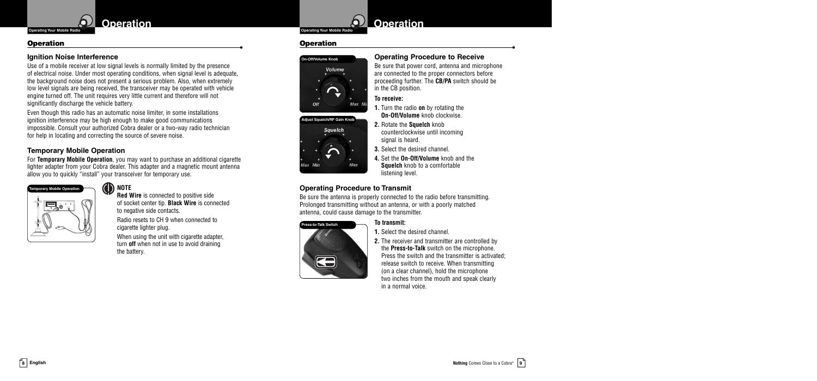## **Operation •**

#### **Ignition Noise Interference**

Use of a mobile receiver at low signal levels is normally limited by the presence of electrical noise. Under most operating conditions, when signal level is adequate, the background noise does not present a serious problem. Also, when extremely low level signals are being received, the transceiver may be operated with vehicle engine turned off. The unit requires very little current and therefore will not significantly discharge the vehicle battery.

Even though this radio has an automatic noise limiter, in some installations ignition interference may be high enough to make good communications impossible. Consult your authorized Cobra dealer or a two-way radio technician for help in locating and correcting the source of severe noise.

#### **Temporary Mobile Operation**

For **Temporary Mobile Operation**, you may want to purchase an additional cigarette lighter adapter from your Cobra dealer. This adapter and a magnetic mount antenna allow you to quickly "install" your transceiver for temporary use.



## **ID** NOTE

**Red Wire** is connected to positive side of socket center tip. **Black Wire** is connected to negative side contacts. Radio resets to CH 9 when connected to cigarette lighter plug. When using the unit with cigarette adapter. turn **off** when not in use to avoid draining the battery.



## **Operation •**





Be sure that power cord, antenna and microphone are connected to the proper connectors before proceeding further. The **CB/PA** switch should be in the CB position.

**Operating Procedure to Receive**

**To receive:**



counterclockwise until incoming signal is heard.

**3.** Select the desired channel.

**4.** Set the **On-Off/Volume** knob and the **Squelch** knob to a comfortable listening level.

### **Operating Procedure to Transmit**

Be sure the antenna is properly connected to the radio before transmitting. Prolonged transmitting without an antenna, or with a poorly matched antenna, could cause damage to the transmitter.



### **To transmit:**

**1.** Select the desired channel.

**2.** The receiver and transmitter are controlled by the **Press-to-Talk** switch on the microphone. Press the switch and the transmitter is activated; release switch to receive. When transmitting (on a clear channel), hold the microphone two inches from the mouth and speak clearly in a normal voice.



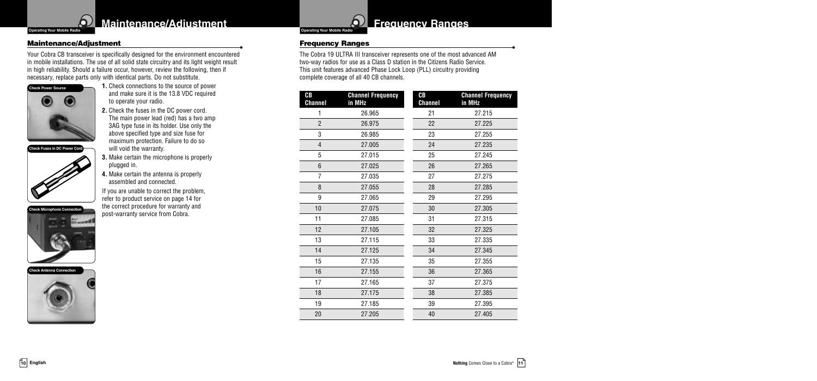## **Maintenance/Adjustment**

 $\boldsymbol{\Delta}$ 

 $\overline{\phantom{a}}$  **Operating Your Mobile Radio** 

**Maintenance/Adjustment**<br> **•** Your Cobra CB transceiver is specifically designed for the environment encountered in mobile installations. The use of all solid state circuitry and its light weight result in high reliability. Should a failure occur, however, review the following, then if necessary, replace parts only with identical parts. Do not substitute.



**Check Fuses in DC Power Cord**

- **1.** Check connections to the source of power and make sure it is the 13.8 VDC required to operate your radio.
- **2.** Check the fuses in the DC power cord. The main power lead (red) has a two amp 3AG type fuse in its holder. Use only the above specified type and size fuse for maximum protection. Failure to do so will void the warranty.
- **3.** Make certain the microphone is properly plugged in.
- **4.** Make certain the antenna is properly assembled and connected.

If you are unable to correct the problem, refer to product service on page 14 for the correct procedure for warranty and post-warranty service from Cobra.







## **Frequency Ranges**

**Frequency Ranges**<br>The Cobra 19 ULTRA III transceiver represents one of the most advanced AM two-way radios for use as a Class D station in the Citizens Radio Service. This unit features advanced Phase Lock Loop (PLL) circuitry providing complete coverage of all 40 CB channels.

| CB<br><b>Channel</b> | <b>Channel Frequency</b><br>in MHz | CВ<br><b>Channel</b> | <b>Channel Frequency</b><br>in MHz |
|----------------------|------------------------------------|----------------------|------------------------------------|
| 1                    | 26.965                             | 21                   | 27.215                             |
| $\overline{2}$       | 26.975                             | 22                   | 27.225                             |
| 3                    | 26.985                             | 23                   | 27.255                             |
| $\overline{4}$       | 27.005                             | 24                   | 27.235                             |
| 5                    | 27.015                             | 25                   | 27.245                             |
| 6                    | 27.025                             | 26                   | 27.265                             |
| $\overline{7}$       | 27.035                             | 27                   | 27.275                             |
| 8                    | 27.055                             | 28                   | 27.285                             |
| 9                    | 27.065                             | 29                   | 27.295                             |
| 10                   | 27.075                             | 30                   | 27.305                             |
| 11                   | 27.085                             | 31                   | 27.315                             |
| 12                   | 27.105                             | 32                   | 27.325                             |
| 13                   | 27.115                             | 33                   | 27.335                             |
| 14                   | 27.125                             | 34                   | 27.345                             |
| 15                   | 27.135                             | 35                   | 27.355                             |
| 16                   | 27.155                             | 36                   | 27.365                             |
| 17                   | 27.165                             | 37                   | 27.375                             |
| 18                   | 27.175                             | 38                   | 27.385                             |
| 19                   | 27.185                             | 39                   | 27.395                             |
| 20                   | 27.205                             | 40                   | 27.405                             |

## **10 English**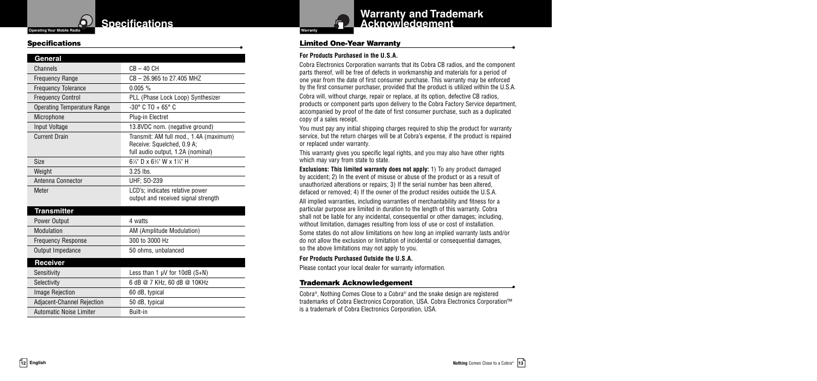#### **Specifications Operating Your Mobile Radio Warranty**

#### **Specifications •**

b.

| General                            |                                                                                                           |
|------------------------------------|-----------------------------------------------------------------------------------------------------------|
| Channels                           | $CB - 40 CH$                                                                                              |
| <b>Frequency Range</b>             | CB - 26.965 to 27.405 MHZ                                                                                 |
| <b>Frequency Tolerance</b>         | $0.005 \%$                                                                                                |
| <b>Frequency Control</b>           | PLL (Phase Lock Loop) Synthesizer                                                                         |
| <b>Operating Temperature Range</b> | $-30^{\circ}$ C TO + 65° C                                                                                |
| Microphone                         | Plug-in Electret                                                                                          |
| Input Voltage                      | 13.8VDC nom. (negative ground)                                                                            |
| <b>Current Drain</b>               | Transmit: AM full mod., 1.4A (maximum)<br>Receive: Squelched, 0.9 A;<br>full audio output, 1.2A (nominal) |
| Size                               | $6\frac{7}{8}$ " D x $6\frac{3}{4}$ " W x $1\frac{7}{8}$ " H                                              |
| Weight                             | 3.25 lbs.                                                                                                 |
| Antenna Connector                  | <b>UHF: SO-239</b>                                                                                        |
| Meter                              | LCD's; indicates relative power<br>output and received signal strength                                    |
| <b>Transmitter</b>                 |                                                                                                           |
| Power Output                       | 4 watts                                                                                                   |
| Modulation                         | AM (Amplitude Modulation)                                                                                 |
| <b>Frequency Response</b>          | 300 to 3000 Hz                                                                                            |
| Output Impedance                   | 50 ohms, unbalanced                                                                                       |
| Receiver                           |                                                                                                           |
| Sensitivity                        | Less than $1 \mu V$ for $10dB(S+N)$                                                                       |
| Selectivity                        | 6 dB @ 7 KHz, 60 dB @ 10KHz                                                                               |
| <b>Image Rejection</b>             | 60 dB, typical                                                                                            |
| <b>Adjacent-Channel Rejection</b>  | 50 dB, typical                                                                                            |
| Automatic Noise Limiter            | Built-in                                                                                                  |



## **Warranty and Trademark Acknowledgement**

### **Limited One-Year Warranty •**

### **For Products Purchased in the U.S.A.**

Cobra Electronics Corporation warrants that its Cobra CB radios, and the component parts thereof, will be free of defects in workmanship and materials for a period of one year from the date of first consumer purchase. This warranty may be enforced by the first consumer purchaser, provided that the product is utilized within the U.S.A.

Cobra will, without charge, repair or replace, at its option, defective CB radios, products or component parts upon delivery to the Cobra Factory Service department, accompanied by proof of the date of first consumer purchase, such as a duplicated copy of a sales receipt.

You must pay any initial shipping charges required to ship the product for warranty service, but the return charges will be at Cobra's expense, if the product is repaired or replaced under warranty.

This warranty gives you specific legal rights, and you may also have other rights which may vary from state to state.

**Exclusions: This limited warranty does not apply:** 1) To any product damaged by accident; 2) In the event of misuse or abuse of the product or as a result of unauthorized alterations or repairs; 3) If the serial number has been altered, defaced or removed; 4) If the owner of the product resides outside the U.S.A.

All implied warranties, including warranties of merchantability and fitness for a particular purpose are limited in duration to the length of this warranty. Cobra shall not be liable for any incidental, consequential or other damages; including, without limitation, damages resulting from loss of use or cost of installation.

Some states do not allow limitations on how long an implied warranty lasts and/or do not allow the exclusion or limitation of incidental or consequential damages, so the above limitations may not apply to you.

#### **For Products Purchased Outside the U.S.A.**

Please contact your local dealer for warranty information.

**Trademark Acknowledgement**<br> **Cobra®, Nothing Comes Close to a Cobra® and the snake design are registered** trademarks of Cobra Electronics Corporation, USA. Cobra Electronics Corporation™ is a trademark of Cobra Electronics Corporation, USA.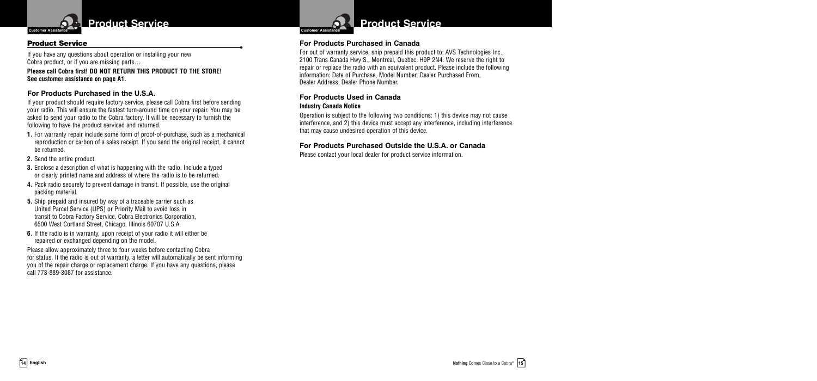

**Product Service**<br>**If you have any questions about operation or installing your new** Cobra product, or if you are missing parts…

**Please call Cobra first! DO NOT RETURN THIS PRODUCT TO THE STORE! See customer assistance on page A1.**

### **For Products Purchased in the U.S.A.**

If your product should require factory service, please call Cobra first before sending your radio. This will ensure the fastest turn-around time on your repair. You may be asked to send your radio to the Cobra factory. It will be necessary to furnish the following to have the product serviced and returned.

- **1.** For warranty repair include some form of proof-of-purchase, such as a mechanical reproduction or carbon of a sales receipt. If you send the original receipt, it cannot be returned.
- **2.** Send the entire product.
- **3.** Enclose a description of what is happening with the radio. Include a typed or clearly printed name and address of where the radio is to be returned.
- **4.** Pack radio securely to prevent damage in transit. If possible, use the original packing material.
- **5.** Ship prepaid and insured by way of a traceable carrier such as United Parcel Service (UPS) or Priority Mail to avoid loss in transit to Cobra Factory Service, Cobra Electronics Corporation, 6500 West Cortland Street, Chicago, Illinois 60707 U.S.A.
- **6.** If the radio is in warranty, upon receipt of your radio it will either be repaired or exchanged depending on the model.

Please allow approximately three to four weeks before contacting Cobra for status. If the radio is out of warranty, a letter will automatically be sent informing you of the repair charge or replacement charge. If you have any questions, please call 773-889-3087 for assistance.



## **Product Service**

### **For Products Purchased in Canada**

For out of warranty service, ship prepaid this product to: AVS Technologies Inc., 2100 Trans Canada Hwy S., Montreal, Quebec, H9P 2N4. We reserve the right to repair or replace the radio with an equivalent product. Please include the following information: Date of Purchase, Model Number, Dealer Purchased From, Dealer Address, Dealer Phone Number.

## **For Products Used in Canada**

#### **Industry Canada Notice**

Operation is subject to the following two conditions: 1) this device may not cause interference, and 2) this device must accept any interference, including interference that may cause undesired operation of this device.

### **For Products Purchased Outside the U.S.A. or Canada**

Please contact your local dealer for product service information.